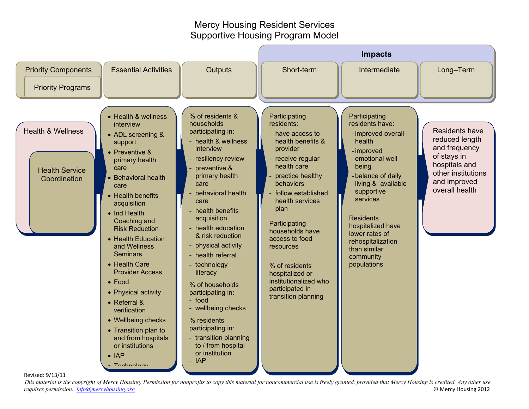## Mercy Housing Resident Services Supportive Housing Program Model



*This material is the copyright of Mercy Housing. Permission for nonprofits to copy this material for noncommercial use is freely granted, provided that Mercy Housing is credited. Any other use requires permission. [info@mercyhousing.org](mailto:info@mercyhousing.org)* © Mercy Housing 2012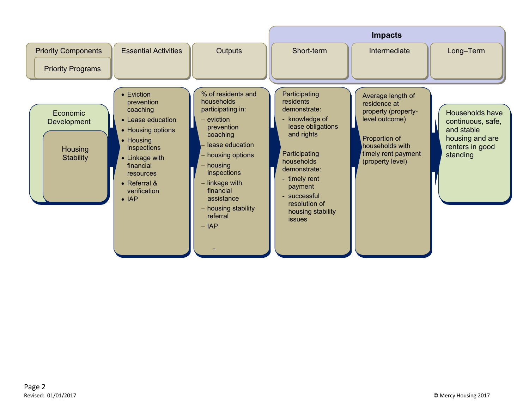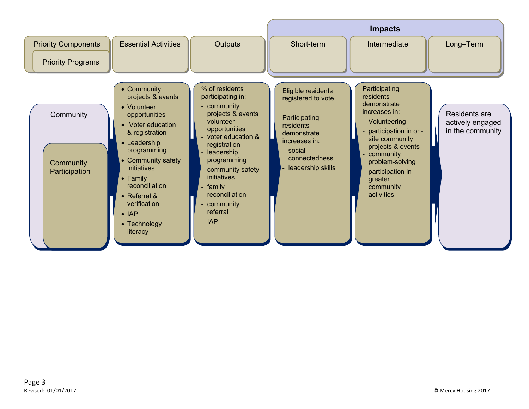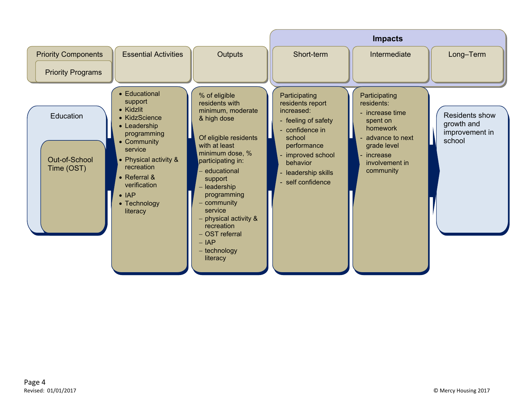